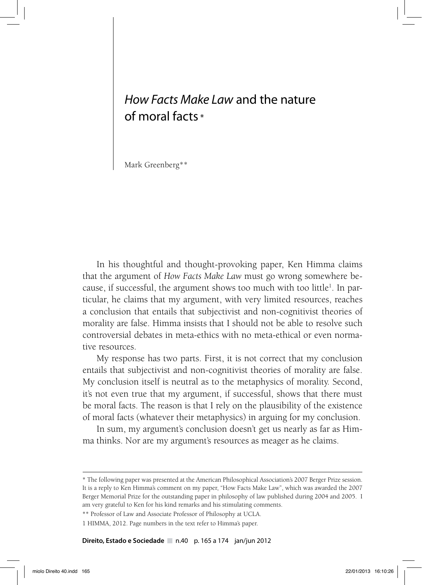# *How Facts Make Law* and the nature of moral facts \*

Mark Greenberg\*\*

In his thoughtful and thought-provoking paper, Ken Himma claims that the argument of *How Facts Make Law* must go wrong somewhere because, if successful, the argument shows too much with too little<sup>1</sup>. In particular, he claims that my argument, with very limited resources, reaches a conclusion that entails that subjectivist and non-cognitivist theories of morality are false. Himma insists that I should not be able to resolve such controversial debates in meta-ethics with no meta-ethical or even normative resources.

My response has two parts. First, it is not correct that my conclusion entails that subjectivist and non-cognitivist theories of morality are false. My conclusion itself is neutral as to the metaphysics of morality. Second, it's not even true that my argument, if successful, shows that there must be moral facts. The reason is that I rely on the plausibility of the existence of moral facts (whatever their metaphysics) in arguing for my conclusion.

In sum, my argument's conclusion doesn't get us nearly as far as Himma thinks. Nor are my argument's resources as meager as he claims.

**Direito, Estado e Sociedade** n.40 p. 165 a 174 jan/jun 2012

<sup>\*</sup> The following paper was presented at the American Philosophical Association's 2007 Berger Prize session. It is a reply to Ken Himma's comment on my paper, "How Facts Make Law", which was awarded the 2007 Berger Memorial Prize for the outstanding paper in philosophy of law published during 2004 and 2005. I am very grateful to Ken for his kind remarks and his stimulating comments.

<sup>\*\*</sup> Professor of Law and Associate Professor of Philosophy at UCLA.

<sup>1</sup> HIMMA, 2012. Page numbers in the text refer to Himma's paper.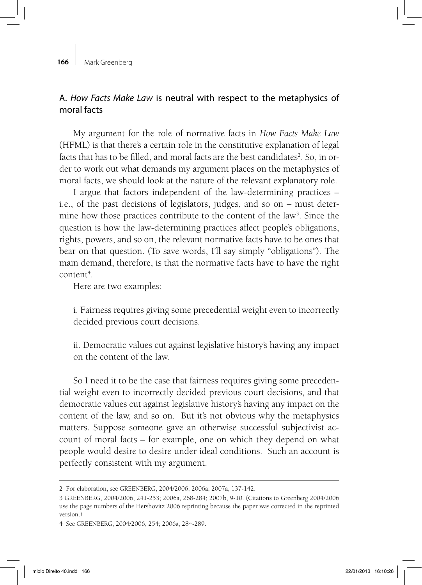#### **166** | Mark Greenberg

# A. *How Facts Make Law* is neutral with respect to the metaphysics of moral facts

My argument for the role of normative facts in *How Facts Make Law*  (HFML) is that there's a certain role in the constitutive explanation of legal facts that has to be filled, and moral facts are the best candidates<sup>2</sup>. So, in order to work out what demands my argument places on the metaphysics of moral facts, we should look at the nature of the relevant explanatory role.

I argue that factors independent of the law-determining practices – i.e., of the past decisions of legislators, judges, and so on – must determine how those practices contribute to the content of the law<sup>3</sup>. Since the question is how the law-determining practices affect people's obligations, rights, powers, and so on, the relevant normative facts have to be ones that bear on that question. (To save words, I'll say simply "obligations"). The main demand, therefore, is that the normative facts have to have the right content<sup>4</sup>.

Here are two examples:

i. Fairness requires giving some precedential weight even to incorrectly decided previous court decisions.

ii. Democratic values cut against legislative history's having any impact on the content of the law.

So I need it to be the case that fairness requires giving some precedential weight even to incorrectly decided previous court decisions, and that democratic values cut against legislative history's having any impact on the content of the law, and so on. But it's not obvious why the metaphysics matters. Suppose someone gave an otherwise successful subjectivist account of moral facts – for example, one on which they depend on what people would desire to desire under ideal conditions. Such an account is perfectly consistent with my argument.

<sup>2</sup> For elaboration, see GREENBERG, 2004/2006; 2006a; 2007a, 137-142.

<sup>3</sup> GREENBERG, 2004/2006, 241-253; 2006a, 268-284; 2007b, 9-10. (Citations to Greenberg 2004/2006 use the page numbers of the Hershovitz 2006 reprinting because the paper was corrected in the reprinted version.)

<sup>4</sup> See GREENBERG, 2004/2006, 254; 2006a, 284-289.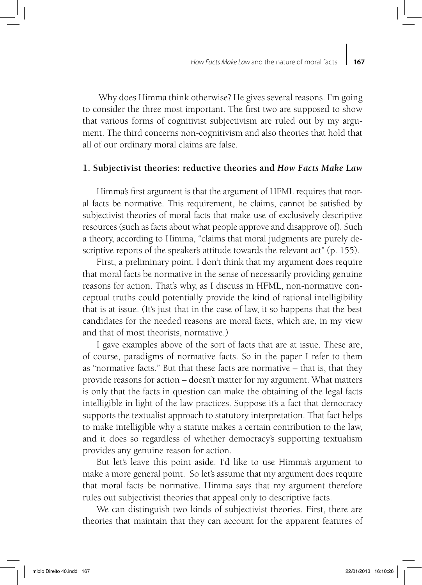Why does Himma think otherwise? He gives several reasons. I'm going to consider the three most important. The first two are supposed to show that various forms of cognitivist subjectivism are ruled out by my argument. The third concerns non-cognitivism and also theories that hold that all of our ordinary moral claims are false.

### **1. Subjectivist theories: reductive theories and** *How Facts Make Law*

Himma's first argument is that the argument of HFML requires that moral facts be normative. This requirement, he claims, cannot be satisfied by subjectivist theories of moral facts that make use of exclusively descriptive resources (such as facts about what people approve and disapprove of). Such a theory, according to Himma, "claims that moral judgments are purely descriptive reports of the speaker's attitude towards the relevant act" (p. 155).

First, a preliminary point. I don't think that my argument does require that moral facts be normative in the sense of necessarily providing genuine reasons for action. That's why, as I discuss in HFML, non-normative conceptual truths could potentially provide the kind of rational intelligibility that is at issue. (It's just that in the case of law, it so happens that the best candidates for the needed reasons are moral facts, which are, in my view and that of most theorists, normative.)

I gave examples above of the sort of facts that are at issue. These are, of course, paradigms of normative facts. So in the paper I refer to them as "normative facts." But that these facts are normative – that is, that they provide reasons for action – doesn't matter for my argument. What matters is only that the facts in question can make the obtaining of the legal facts intelligible in light of the law practices. Suppose it's a fact that democracy supports the textualist approach to statutory interpretation. That fact helps to make intelligible why a statute makes a certain contribution to the law, and it does so regardless of whether democracy's supporting textualism provides any genuine reason for action.

But let's leave this point aside. I'd like to use Himma's argument to make a more general point. So let's assume that my argument does require that moral facts be normative. Himma says that my argument therefore rules out subjectivist theories that appeal only to descriptive facts.

We can distinguish two kinds of subjectivist theories. First, there are theories that maintain that they can account for the apparent features of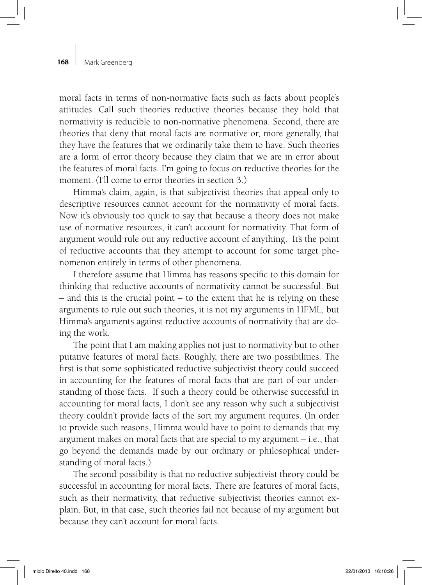## **168** | Mark Greenberg

moral facts in terms of non-normative facts such as facts about people's attitudes. Call such theories reductive theories because they hold that normativity is reducible to non-normative phenomena. Second, there are theories that deny that moral facts are normative or, more generally, that they have the features that we ordinarily take them to have. Such theories are a form of error theory because they claim that we are in error about the features of moral facts. I'm going to focus on reductive theories for the moment. (I'll come to error theories in section 3.)

Himma's claim, again, is that subjectivist theories that appeal only to descriptive resources cannot account for the normativity of moral facts. Now it's obviously too quick to say that because a theory does not make use of normative resources, it can't account for normativity. That form of argument would rule out any reductive account of anything. It's the point of reductive accounts that they attempt to account for some target phenomenon entirely in terms of other phenomena.

I therefore assume that Himma has reasons specific to this domain for thinking that reductive accounts of normativity cannot be successful. But – and this is the crucial point – to the extent that he is relying on these arguments to rule out such theories, it is not my arguments in HFML, but Himma's arguments against reductive accounts of normativity that are doing the work.

The point that I am making applies not just to normativity but to other putative features of moral facts. Roughly, there are two possibilities. The first is that some sophisticated reductive subjectivist theory could succeed in accounting for the features of moral facts that are part of our understanding of those facts. If such a theory could be otherwise successful in accounting for moral facts, I don't see any reason why such a subjectivist theory couldn't provide facts of the sort my argument requires. (In order to provide such reasons, Himma would have to point to demands that my argument makes on moral facts that are special to my argument – i.e., that go beyond the demands made by our ordinary or philosophical understanding of moral facts.)

The second possibility is that no reductive subjectivist theory could be successful in accounting for moral facts. There are features of moral facts, such as their normativity, that reductive subjectivist theories cannot explain. But, in that case, such theories fail not because of my argument but because they can't account for moral facts.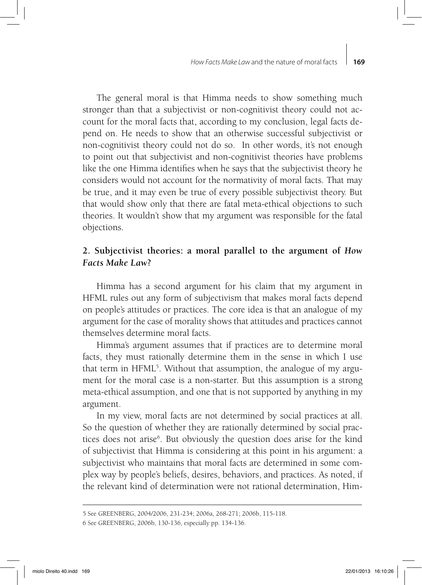The general moral is that Himma needs to show something much stronger than that a subjectivist or non-cognitivist theory could not account for the moral facts that, according to my conclusion, legal facts depend on. He needs to show that an otherwise successful subjectivist or non-cognitivist theory could not do so. In other words, it's not enough to point out that subjectivist and non-cognitivist theories have problems like the one Himma identifies when he says that the subjectivist theory he considers would not account for the normativity of moral facts. That may be true, and it may even be true of every possible subjectivist theory. But that would show only that there are fatal meta-ethical objections to such theories. It wouldn't show that my argument was responsible for the fatal objections.

# **2. Subjectivist theories: a moral parallel to the argument of** *How Facts Make Law***?**

Himma has a second argument for his claim that my argument in HFML rules out any form of subjectivism that makes moral facts depend on people's attitudes or practices. The core idea is that an analogue of my argument for the case of morality shows that attitudes and practices cannot themselves determine moral facts.

Himma's argument assumes that if practices are to determine moral facts, they must rationally determine them in the sense in which I use that term in HFML<sup>5</sup>. Without that assumption, the analogue of my argument for the moral case is a non-starter. But this assumption is a strong meta-ethical assumption, and one that is not supported by anything in my argument.

In my view, moral facts are not determined by social practices at all. So the question of whether they are rationally determined by social practices does not arise<sup>6</sup>. But obviously the question does arise for the kind of subjectivist that Himma is considering at this point in his argument: a subjectivist who maintains that moral facts are determined in some complex way by people's beliefs, desires, behaviors, and practices. As noted, if the relevant kind of determination were not rational determination, Him-

<sup>5</sup> See GREENBERG, 2004/2006, 231-234; 2006a, 268-271; 2006b, 115-118.

<sup>6</sup> See GREENBERG, 2006b, 130-136, especially pp. 134-136.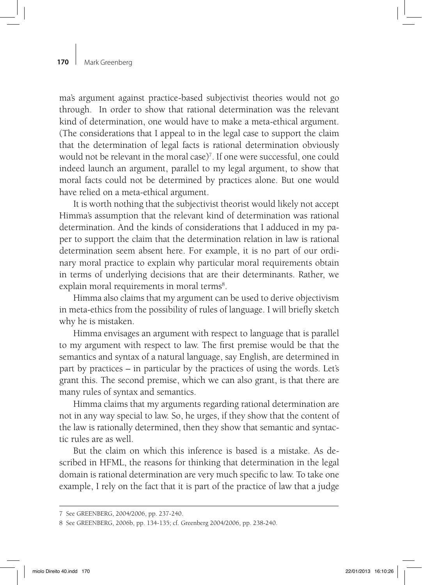## **170** | Mark Greenberg

ma's argument against practice-based subjectivist theories would not go through. In order to show that rational determination was the relevant kind of determination, one would have to make a meta-ethical argument. (The considerations that I appeal to in the legal case to support the claim that the determination of legal facts is rational determination obviously would not be relevant in the moral case)<sup>7</sup>. If one were successful, one could indeed launch an argument, parallel to my legal argument, to show that moral facts could not be determined by practices alone. But one would have relied on a meta-ethical argument.

It is worth nothing that the subjectivist theorist would likely not accept Himma's assumption that the relevant kind of determination was rational determination. And the kinds of considerations that I adduced in my paper to support the claim that the determination relation in law is rational determination seem absent here. For example, it is no part of our ordinary moral practice to explain why particular moral requirements obtain in terms of underlying decisions that are their determinants. Rather, we explain moral requirements in moral terms<sup>8</sup>.

Himma also claims that my argument can be used to derive objectivism in meta-ethics from the possibility of rules of language. I will briefly sketch why he is mistaken.

Himma envisages an argument with respect to language that is parallel to my argument with respect to law. The first premise would be that the semantics and syntax of a natural language, say English, are determined in part by practices – in particular by the practices of using the words. Let's grant this. The second premise, which we can also grant, is that there are many rules of syntax and semantics.

Himma claims that my arguments regarding rational determination are not in any way special to law. So, he urges, if they show that the content of the law is rationally determined, then they show that semantic and syntactic rules are as well.

But the claim on which this inference is based is a mistake. As described in HFML, the reasons for thinking that determination in the legal domain is rational determination are very much specific to law. To take one example, I rely on the fact that it is part of the practice of law that a judge

<sup>7</sup> See GREENBERG, 2004/2006, pp. 237-240.

<sup>8</sup> See GREENBERG, 2006b, pp. 134-135; cf. Greenberg 2004/2006, pp. 238-240.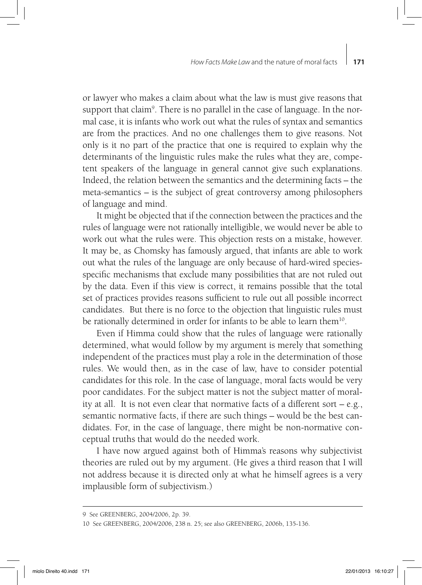or lawyer who makes a claim about what the law is must give reasons that support that claim<sup>9</sup>. There is no parallel in the case of language. In the normal case, it is infants who work out what the rules of syntax and semantics are from the practices. And no one challenges them to give reasons. Not only is it no part of the practice that one is required to explain why the determinants of the linguistic rules make the rules what they are, competent speakers of the language in general cannot give such explanations. Indeed, the relation between the semantics and the determining facts – the meta-semantics – is the subject of great controversy among philosophers of language and mind.

It might be objected that if the connection between the practices and the rules of language were not rationally intelligible, we would never be able to work out what the rules were. This objection rests on a mistake, however. It may be, as Chomsky has famously argued, that infants are able to work out what the rules of the language are only because of hard-wired speciesspecific mechanisms that exclude many possibilities that are not ruled out by the data. Even if this view is correct, it remains possible that the total set of practices provides reasons sufficient to rule out all possible incorrect candidates. But there is no force to the objection that linguistic rules must be rationally determined in order for infants to be able to learn them<sup>10</sup>.

Even if Himma could show that the rules of language were rationally determined, what would follow by my argument is merely that something independent of the practices must play a role in the determination of those rules. We would then, as in the case of law, have to consider potential candidates for this role. In the case of language, moral facts would be very poor candidates. For the subject matter is not the subject matter of morality at all. It is not even clear that normative facts of a different sort – e.g., semantic normative facts, if there are such things – would be the best candidates. For, in the case of language, there might be non-normative conceptual truths that would do the needed work.

I have now argued against both of Himma's reasons why subjectivist theories are ruled out by my argument. (He gives a third reason that I will not address because it is directed only at what he himself agrees is a very implausible form of subjectivism.)

<sup>9</sup> See GREENBERG, 2004/2006, 2p. 39.

<sup>10</sup> See GREENBERG, 2004/2006, 238 n. 25; see also GREENBERG, 2006b, 135-136.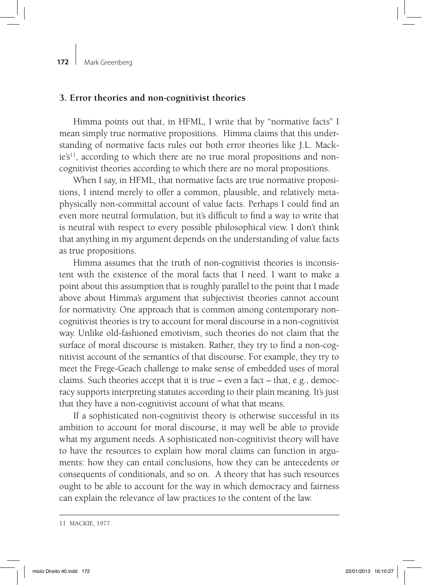#### **3. Error theories and non-cognitivist theories**

Himma points out that, in HFML, I write that by "normative facts" I mean simply true normative propositions. Himma claims that this understanding of normative facts rules out both error theories like J.L. Mack $ie^2$ <sup>11</sup>, according to which there are no true moral propositions and noncognitivist theories according to which there are no moral propositions.

When I say, in HFML, that normative facts are true normative propositions, I intend merely to offer a common, plausible, and relatively metaphysically non-committal account of value facts. Perhaps I could find an even more neutral formulation, but it's difficult to find a way to write that is neutral with respect to every possible philosophical view. I don't think that anything in my argument depends on the understanding of value facts as true propositions.

Himma assumes that the truth of non-cognitivist theories is inconsistent with the existence of the moral facts that I need. I want to make a point about this assumption that is roughly parallel to the point that I made above about Himma's argument that subjectivist theories cannot account for normativity. One approach that is common among contemporary noncognitivist theories is try to account for moral discourse in a non-cognitivist way. Unlike old-fashioned emotivism, such theories do not claim that the surface of moral discourse is mistaken. Rather, they try to find a non-cognitivist account of the semantics of that discourse. For example, they try to meet the Frege-Geach challenge to make sense of embedded uses of moral claims. Such theories accept that it is true – even a fact – that, e.g., democracy supports interpreting statutes according to their plain meaning. It's just that they have a non-cognitivist account of what that means.

If a sophisticated non-cognitivist theory is otherwise successful in its ambition to account for moral discourse, it may well be able to provide what my argument needs. A sophisticated non-cognitivist theory will have to have the resources to explain how moral claims can function in arguments: how they can entail conclusions, how they can be antecedents or consequents of conditionals, and so on. A theory that has such resources ought to be able to account for the way in which democracy and fairness can explain the relevance of law practices to the content of the law.

<sup>11</sup> MACKIE, 1977.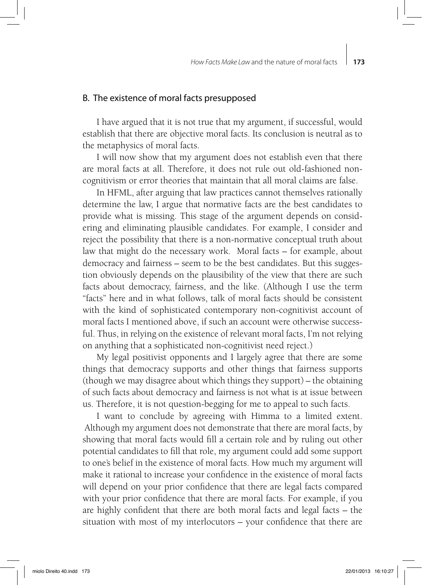## B. The existence of moral facts presupposed

I have argued that it is not true that my argument, if successful, would establish that there are objective moral facts. Its conclusion is neutral as to the metaphysics of moral facts.

I will now show that my argument does not establish even that there are moral facts at all. Therefore, it does not rule out old-fashioned noncognitivism or error theories that maintain that all moral claims are false.

In HFML, after arguing that law practices cannot themselves rationally determine the law, I argue that normative facts are the best candidates to provide what is missing. This stage of the argument depends on considering and eliminating plausible candidates. For example, I consider and reject the possibility that there is a non-normative conceptual truth about law that might do the necessary work. Moral facts – for example, about democracy and fairness – seem to be the best candidates. But this suggestion obviously depends on the plausibility of the view that there are such facts about democracy, fairness, and the like. (Although I use the term "facts" here and in what follows, talk of moral facts should be consistent with the kind of sophisticated contemporary non-cognitivist account of moral facts I mentioned above, if such an account were otherwise successful. Thus, in relying on the existence of relevant moral facts, I'm not relying on anything that a sophisticated non-cognitivist need reject.)

My legal positivist opponents and I largely agree that there are some things that democracy supports and other things that fairness supports (though we may disagree about which things they support) – the obtaining of such facts about democracy and fairness is not what is at issue between us. Therefore, it is not question-begging for me to appeal to such facts.

I want to conclude by agreeing with Himma to a limited extent. Although my argument does not demonstrate that there are moral facts, by showing that moral facts would fill a certain role and by ruling out other potential candidates to fill that role, my argument could add some support to one's belief in the existence of moral facts. How much my argument will make it rational to increase your confidence in the existence of moral facts will depend on your prior confidence that there are legal facts compared with your prior confidence that there are moral facts. For example, if you are highly confident that there are both moral facts and legal facts – the situation with most of my interlocutors – your confidence that there are